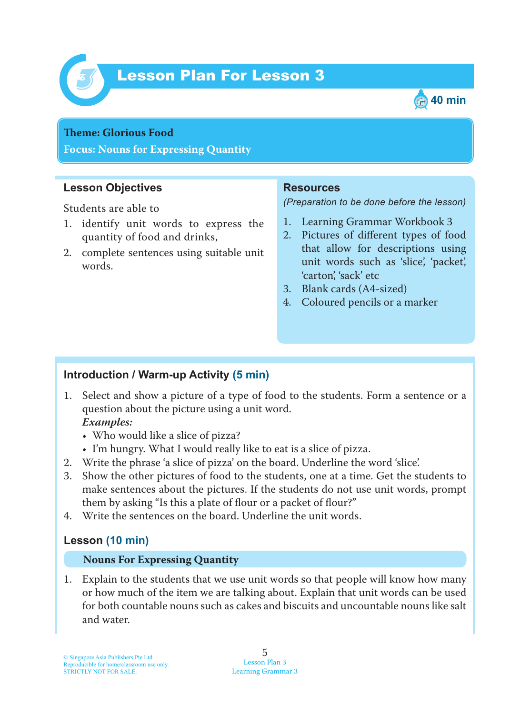

# Lesson Plan For Lesson 3 *3*



#### **Teme : Glorious Food**

**Focus: Nouns for Expressing Quantity**

## **Lesson Objectives**

Students are able to

- 1. identify unit words to express the quantity of food and drinks,
- 2. complete sentences using suitable unit words.

### **Resources**

*(Preparation to be done before the lesson)*

- 1. Learning Grammar Workbook 3
- 2. Pictures of different types of food that allow for descriptions using unit words such as 'slice', 'packet', 'carton', 'sack' etc
- 3. Blank cards (A4-sized)
- 4. Coloured pencils or a marker

## **Introduction / Warm-up Activity (5 min)**

1 . Select and show a picture of a type of food to the students. Form a sentence or a question about the picture using a unit word.

### *Examples:*

- Who would like a slice of pizza?
- I'm hungry. What I would really like to eat is a slice of pizza.
- 2. Write the phrase 'a slice of pizza' on the board. Underline the word 'slice'.
- 3. Show the other pictures of food to the students, one at a time. Get the students to make sentences about the pictures. If the students do not use unit words, prompt them by asking "Is this a plate of flour or a packet of flour?"
- 4. Write the sentences on the board. Underline the unit words.

## **Lesson (10 min)**

### **Nouns For Expressing Quantity**

1. Explain to the students that we use unit words so that people will know how many or how much of the item we are talking about. Explain that unit words can be used for both countable nouns such as cakes and biscuits and uncountable nouns like salt and water.